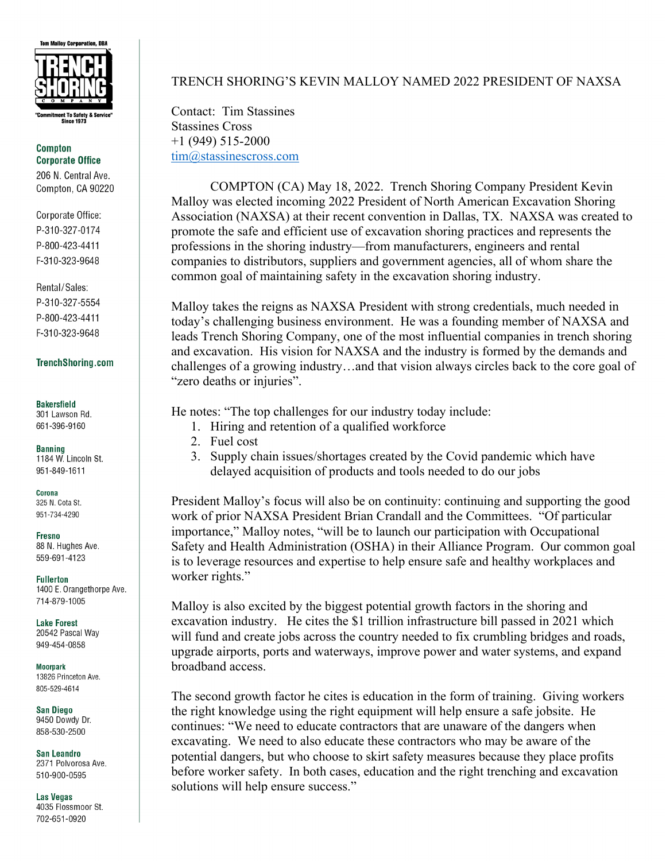

**Compton Corporate Office** 206 N. Central Ave. Compton, CA 90220

Corporate Office: P-310-327-0174 P-800-423-4411 F-310-323-9648

Rental/Sales: P-310-327-5554 P-800-423-4411 F-310-323-9648

## TrenchShoring.com

**Bakersfield** 301 Lawson Rd. 661-396-9160

**Banning** 1184 W. Lincoln St. 951-849-1611

Corona 325 N. Cota St. 951-734-4290

**Fresno** 88 N. Hughes Ave. 559-691-4123

**Fullerton** 1400 E. Orangethorpe Ave. 714-879-1005

**Lake Forest** 20542 Pascal Wav 949-454-0858

**Moorpark** 13826 Princeton Ave. 805-529-4614

**San Diego** 9450 Dowdy Dr. 858-530-2500

San Leandro 2371 Polvorosa Ave. 510-900-0595

**Las Vegas** 4035 Flossmoor St. 702-651-0920

## TRENCH SHORING'S KEVIN MALLOY NAMED 2022 PRESIDENT OF NAXSA

Contact: Tim Stassines Stassines Cross +1 (949) 515-2000 tim@stassinescross.com

 COMPTON (CA) May 18, 2022. Trench Shoring Company President Kevin Malloy was elected incoming 2022 President of North American Excavation Shoring Association (NAXSA) at their recent convention in Dallas, TX. NAXSA was created to promote the safe and efficient use of excavation shoring practices and represents the professions in the shoring industry—from manufacturers, engineers and rental companies to distributors, suppliers and government agencies, all of whom share the common goal of maintaining safety in the excavation shoring industry.

Malloy takes the reigns as NAXSA President with strong credentials, much needed in today's challenging business environment. He was a founding member of NAXSA and leads Trench Shoring Company, one of the most influential companies in trench shoring and excavation. His vision for NAXSA and the industry is formed by the demands and challenges of a growing industry…and that vision always circles back to the core goal of "zero deaths or injuries".

He notes: "The top challenges for our industry today include:

- 1. Hiring and retention of a qualified workforce
- 2. Fuel cost
- 3. Supply chain issues/shortages created by the Covid pandemic which have delayed acquisition of products and tools needed to do our jobs

President Malloy's focus will also be on continuity: continuing and supporting the good work of prior NAXSA President Brian Crandall and the Committees. "Of particular importance," Malloy notes, "will be to launch our participation with Occupational Safety and Health Administration (OSHA) in their Alliance Program. Our common goal is to leverage resources and expertise to help ensure safe and healthy workplaces and worker rights."

Malloy is also excited by the biggest potential growth factors in the shoring and excavation industry. He cites the \$1 trillion infrastructure bill passed in 2021 which will fund and create jobs across the country needed to fix crumbling bridges and roads, upgrade airports, ports and waterways, improve power and water systems, and expand broadband access.

The second growth factor he cites is education in the form of training. Giving workers the right knowledge using the right equipment will help ensure a safe jobsite. He continues: "We need to educate contractors that are unaware of the dangers when excavating. We need to also educate these contractors who may be aware of the potential dangers, but who choose to skirt safety measures because they place profits before worker safety. In both cases, education and the right trenching and excavation solutions will help ensure success."